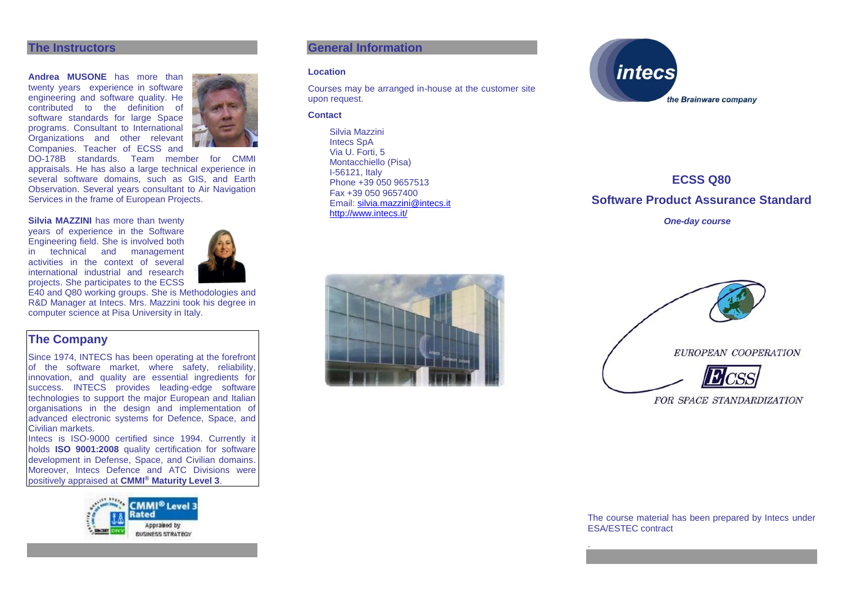#### **The Instructors**

**Andrea MUSONE** has more than twenty years experience in software engineering and software quality. He contributed to the definition of software standards for large Space programs. Consultant to International Organizations and other relevant Companies. Teacher of ECSS and



DO-178B standards. Team member for CMMI appraisals. He has also a large technical experience in several software domains, such as GIS, and Earth Observation. Several years consultant to Air Navigation Services in the frame of European Projects.

#### **Silvia MAZZINI** has more than twenty

years of experience in the Software Engineering field. She is involved both in technical and management activities in the context of several international industrial and research projects. She participates to the ECSS



E40 and Q80 working groups. She is Methodologies and R&D Manager at Intecs. Mrs. Mazzini took his degree in computer science at Pisa University in Italy.

## **The Company**

Since 1974, INTECS has been operating at the forefront of the software market, where safety, reliability, innovation, and quality are essential ingredients for success. INTECS provides leading-edge software technologies to support the major European and Italian organisations in the design and implementation of advanced electronic systems for Defence, Space, and Civilian markets.

Intecs is ISO-9000 certified since 1994. Currently it holds **ISO 9001:2008** quality certification for software development in Defense, Space, and Civilian domains. Moreover, Intecs Defence and ATC Divisions were positively appraised at **CMMI® Maturity Level 3**.



#### **General Information**

#### **Location**

Courses may be arranged in-house at the customer site upon request.

#### **Contact**

Silvia Mazzini Intecs SpA Via U. Forti, 5 Montacchiello (Pisa) I-56121, Italy Phone +39 050 9657513 Fax +39 050 9657400 Email: [silvia.mazzini@intecs.it](mailto:andrea.musone@intecs.it) <http://www.intecs.it/>



**ECSS Q80 Software Product Assurance Standard** *One-day course*





FOR SPACE STANDARDIZATION

The course material has been prepared by Intecs under ESA/ESTEC contract

.